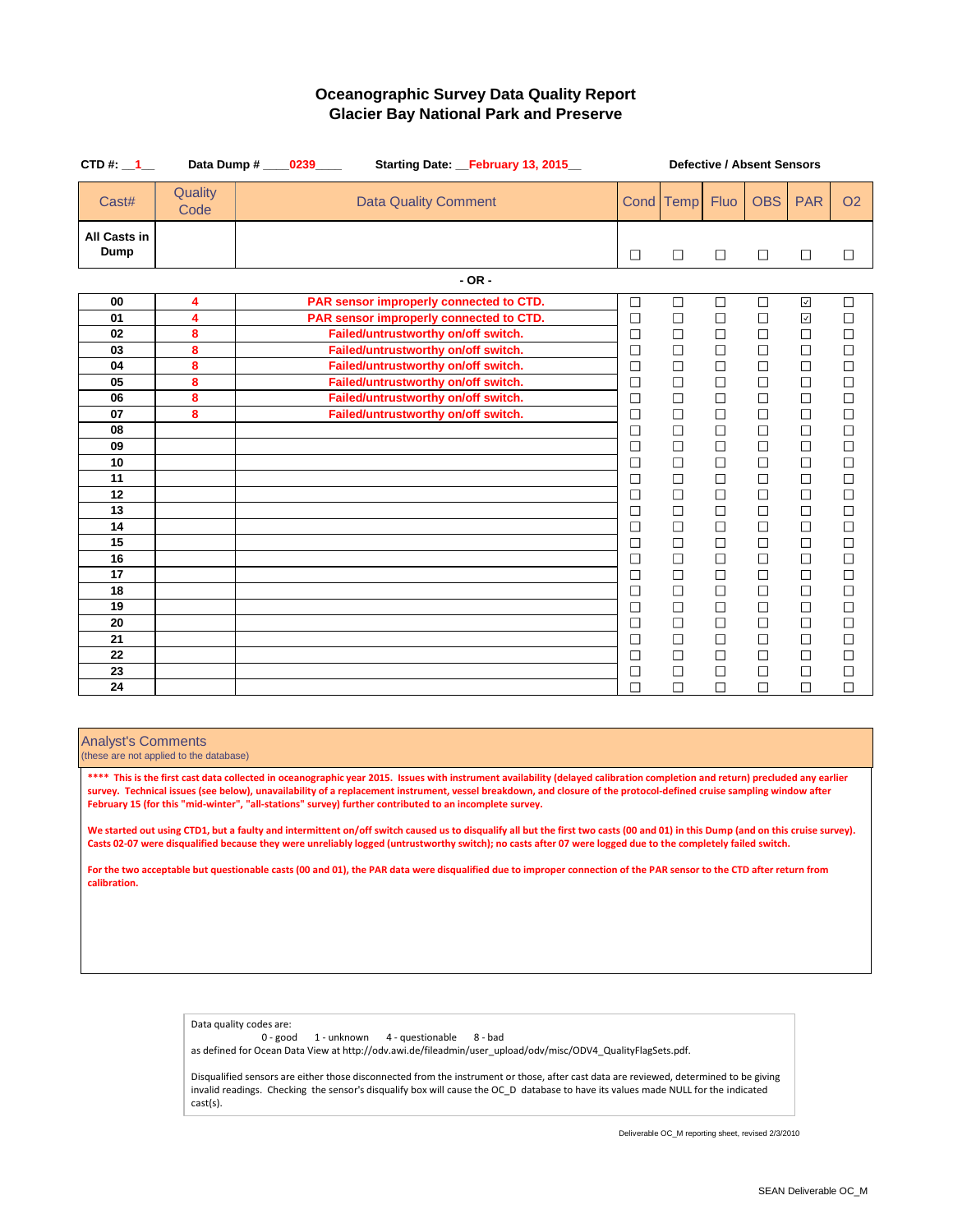| CTD#: $1 -$                        | Data Dump #     | 0239 |                                         | Starting Date: February 13, 2015 | <b>Defective / Absent Sensors</b> |                          |                          |            |                             |                             |  |
|------------------------------------|-----------------|------|-----------------------------------------|----------------------------------|-----------------------------------|--------------------------|--------------------------|------------|-----------------------------|-----------------------------|--|
| Cast#                              | Quality<br>Code |      | <b>Data Quality Comment</b>             |                                  |                                   | Cond Temp                | <b>Fluo</b>              | <b>OBS</b> | <b>PAR</b>                  | <b>O2</b>                   |  |
| <b>All Casts in</b><br><b>Dump</b> |                 |      |                                         |                                  | $\Box$                            | $\Box$                   | $\Box$                   | $\Box$     | $\Box$                      | $\Box$                      |  |
|                                    |                 |      |                                         | $- OR -$                         |                                   |                          |                          |            |                             |                             |  |
| 00                                 | 4               |      | PAR sensor improperly connected to CTD. |                                  | $\Box$                            | $\Box$                   | $\Box$                   | $\Box$     | $\blacktriangledown$        | $\Box$                      |  |
| 01                                 | 4               |      | PAR sensor improperly connected to CTD. |                                  | $\Box$                            | $\Box$                   | $\Box$                   | $\Box$     | $\sqrt{ }$                  | $\Box$                      |  |
| 02                                 | 8               |      | Failed/untrustworthy on/off switch.     |                                  | $\Box$                            | $\Box$                   | $\Box$                   | $\Box$     | $\Box$                      | $\Box$                      |  |
| 03                                 | 8               |      | Failed/untrustworthy on/off switch.     |                                  | $\Box$                            | $\Box$                   | $\Box$                   | $\Box$     | $\Box$                      |                             |  |
| 04                                 | 8               |      | Failed/untrustworthy on/off switch.     |                                  | $\Box$                            | $\Box$                   | $\Box$                   | $\Box$     | $\Box$                      | 000000                      |  |
| 05                                 | 8               |      | Failed/untrustworthy on/off switch.     |                                  | $\Box$                            | $\Box$                   | $\Box$                   | $\Box$     | $\Box$                      |                             |  |
| 06                                 | 8               |      | Failed/untrustworthy on/off switch.     |                                  | $\Box$                            | $\Box$                   | $\Box$                   | $\Box$     | $\Box$                      |                             |  |
| 07                                 | 8               |      | Failed/untrustworthy on/off switch.     |                                  | $\Box$                            | $\Box$                   | $\Box$                   | $\Box$     | $\Box$                      |                             |  |
| 08                                 |                 |      |                                         |                                  | $\Box$                            | $\Box$                   | $\Box$                   | $\Box$     | $\Box$                      |                             |  |
| 09                                 |                 |      |                                         |                                  | $\Box$                            | $\Box$                   | $\Box$                   | $\Box$     | $\Box$                      | $\Box$                      |  |
| 10                                 |                 |      |                                         |                                  | $\Box$                            | $\Box$                   | $\Box$                   | $\Box$     | $\Box$                      | $\Box$                      |  |
| 11                                 |                 |      |                                         |                                  | $\Box$                            | $\overline{\phantom{a}}$ | $\Box$                   | $\Box$     | $\Box$                      | $\Box$                      |  |
| 12                                 |                 |      |                                         |                                  | $\Box$                            | $\Box$                   | $\Box$                   | $\Box$     | $\Box$                      | $\Box$                      |  |
| 13                                 |                 |      |                                         |                                  | $\Box$                            | $\Box$                   | $\Box$                   | $\Box$     | $\Box$                      | $\Box$                      |  |
| 14                                 |                 |      |                                         |                                  | $\Box$                            | $\Box$                   | $\Box$                   | $\Box$     | $\Box$                      | $\Box$                      |  |
| 15                                 |                 |      |                                         |                                  | $\Box$                            | $\Box$                   | $\Box$                   | $\Box$     | $\Box$                      | $\Box$                      |  |
| 16                                 |                 |      |                                         |                                  | $\Box$                            | $\Box$                   | $\Box$                   | $\Box$     | $\Box$                      | $\Box$                      |  |
| 17                                 |                 |      |                                         |                                  | $\Box$                            | $\Box$                   | $\Box$                   | $\Box$     | $\Box$                      | $\Box$                      |  |
| 18                                 |                 |      |                                         |                                  | П                                 | $\Box$                   | $\Box$                   | $\Box$     | $\Box$                      | $\Box$                      |  |
| 19                                 |                 |      |                                         |                                  | $\Box$                            | $\Box$                   | ⊏                        | $\Box$     | $\Box$                      | $\mathcal{L}_{\mathcal{A}}$ |  |
| 20                                 |                 |      |                                         |                                  | $\Box$                            | $\Box$                   | $\Box$                   | $\Box$     | $\Box$                      |                             |  |
| 21                                 |                 |      |                                         |                                  | $\Box$                            | $\Box$                   | $\overline{\phantom{a}}$ | $\Box$     | $\Box$                      | $\Box$                      |  |
| 22                                 |                 |      |                                         |                                  | $\Box$                            | $\Box$                   | $\Box$                   | $\Box$     |                             | $\Box$                      |  |
| 23                                 |                 |      |                                         |                                  | $\Box$                            | $\Box$                   | $\Box$                   | $\Box$     | $\Box$                      | $\Box$                      |  |
| 24                                 |                 |      |                                         |                                  | $\Box$                            | $\Box$                   |                          | $\Box$     | $\mathcal{L}_{\mathcal{A}}$ |                             |  |

#### Analyst's Comments

(these are not applied to the database)

### **Oceanographic Survey Data Quality Report Glacier Bay National Park and Preserve**

Data quality codes are:

0 - good 1 - unknown 4 - questionable 8 - bad

\*\*\*\* This is the first cast data collected in oceanographic year 2015. Issues with instrument availability (delayed calibration completion and return) precluded any earlier **survey. Technical issues (see below), unavailability of a replacement instrument, vessel breakdown, and closure of the protocol-defined cruise sampling window after February 15 (for this "mid-winter", "all-stations" survey) further contributed to an incomplete survey.**

as defined for Ocean Data View at http://odv.awi.de/fileadmin/user\_upload/odv/misc/ODV4\_QualityFlagSets.pdf.

We started out using CTD1, but a faulty and intermittent on/off switch caused us to disqualify all but the first two casts (00 and 01) in this Dump (and on this cruise survey). **Casts 02-07 were disqualified because they were unreliably logged (untrustworthy switch); no casts after 07 were logged due to the completely failed switch.**

> Disqualified sensors are either those disconnected from the instrument or those, after cast data are reviewed, determined to be giving invalid readings. Checking the sensor's disqualify box will cause the OC\_D database to have its values made NULL for the indicated cast(s).

**For the two acceptable but questionable casts (00 and 01), the PAR data were disqualified due to improper connection of the PAR sensor to the CTD after return from calibration.**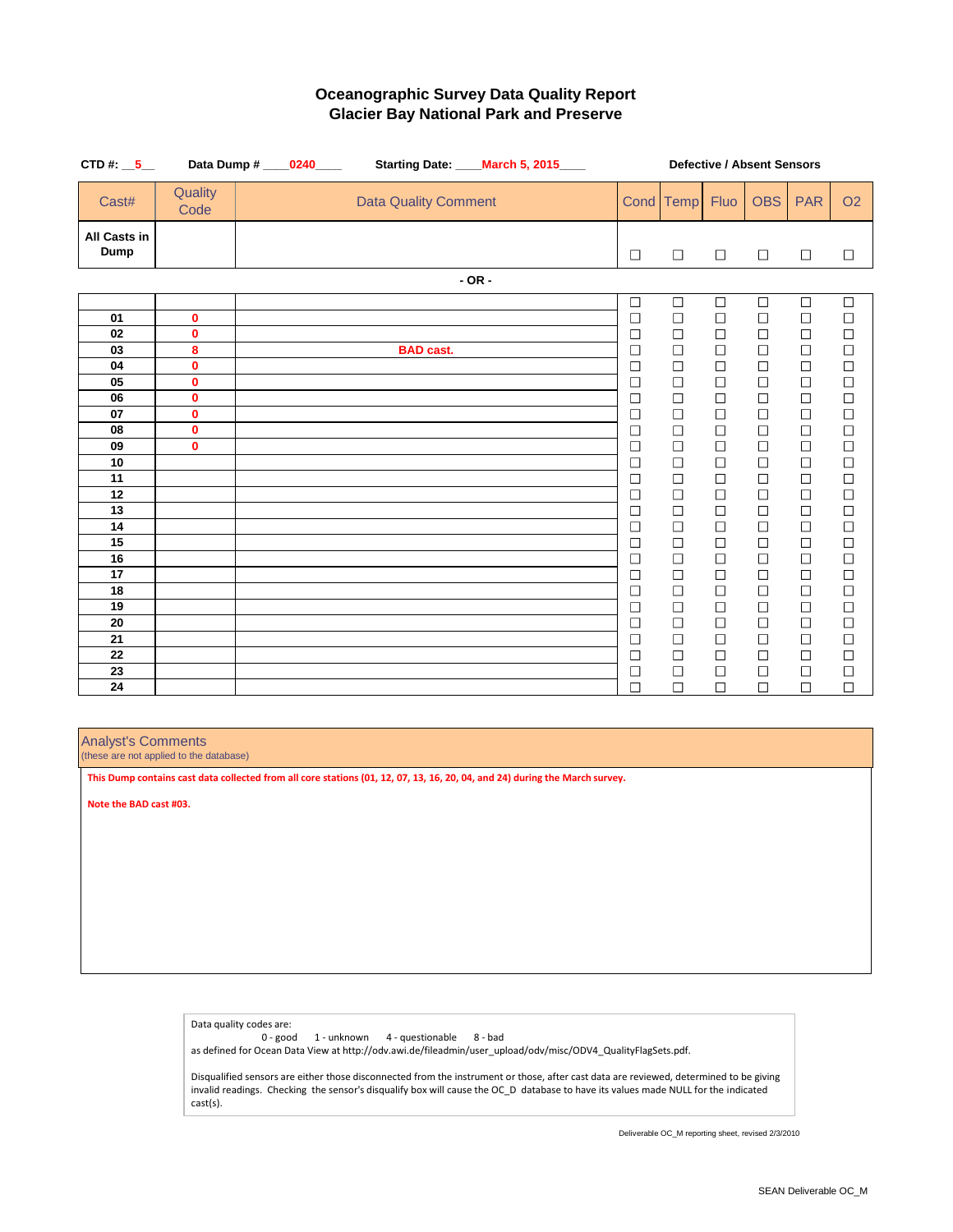| CTD #: $\_5$                                                                                                         |                                                                                                                           | Data Dump # ____0240____ | Starting Date: ___          | March 5, 2015 |                                                                                                                                                                                                                | <b>Defective / Absent Sensors</b>                                                                                                                                                                                                |                                                                                                                                                                                                                |                                                                                                                                                                                                                |                                                                                                                                                                                                                |                                                                                                                                                                                                                                   |  |  |
|----------------------------------------------------------------------------------------------------------------------|---------------------------------------------------------------------------------------------------------------------------|--------------------------|-----------------------------|---------------|----------------------------------------------------------------------------------------------------------------------------------------------------------------------------------------------------------------|----------------------------------------------------------------------------------------------------------------------------------------------------------------------------------------------------------------------------------|----------------------------------------------------------------------------------------------------------------------------------------------------------------------------------------------------------------|----------------------------------------------------------------------------------------------------------------------------------------------------------------------------------------------------------------|----------------------------------------------------------------------------------------------------------------------------------------------------------------------------------------------------------------|-----------------------------------------------------------------------------------------------------------------------------------------------------------------------------------------------------------------------------------|--|--|
| Cast#                                                                                                                | Quality<br>Code                                                                                                           |                          | <b>Data Quality Comment</b> |               |                                                                                                                                                                                                                | Cond Temp                                                                                                                                                                                                                        | <b>Fluo</b>                                                                                                                                                                                                    | <b>OBS</b>                                                                                                                                                                                                     | <b>PAR</b>                                                                                                                                                                                                     | <b>O2</b>                                                                                                                                                                                                                         |  |  |
| <b>All Casts in</b><br><b>Dump</b>                                                                                   |                                                                                                                           |                          |                             |               | $\Box$                                                                                                                                                                                                         | $\Box$                                                                                                                                                                                                                           | $\Box$                                                                                                                                                                                                         | $\Box$                                                                                                                                                                                                         | $\Box$                                                                                                                                                                                                         | $\Box$                                                                                                                                                                                                                            |  |  |
|                                                                                                                      |                                                                                                                           |                          |                             | $- OR -$      |                                                                                                                                                                                                                |                                                                                                                                                                                                                                  |                                                                                                                                                                                                                |                                                                                                                                                                                                                |                                                                                                                                                                                                                |                                                                                                                                                                                                                                   |  |  |
| 01<br>02<br>03<br>04<br>05<br>06<br>07<br>08<br>09<br>10<br>11<br>12<br>13<br>14<br>15<br>16<br>17<br>18<br>19<br>20 | $\mathbf 0$<br>$\mathbf 0$<br>8<br>$\mathbf 0$<br>$\mathbf 0$<br>$\mathbf 0$<br>$\mathbf 0$<br>$\mathbf 0$<br>$\mathbf 0$ |                          | <b>BAD cast.</b>            |               | $\Box$<br>$\Box$<br>$\Box$<br>$\Box$<br>$\Box$<br>$\Box$<br>$\Box$<br>$\Box$<br>$\Box$<br>$\Box$<br>$\Box$<br>$\Box$<br>$\Box$<br>$\Box$<br>$\Box$<br>$\Box$<br>$\Box$<br>$\Box$<br>$\Box$<br>$\Box$<br>$\Box$ | $\Box$<br>$\Box$<br>$\Box$<br>$\Box$<br>$\Box$<br>$\Box$<br>$\Box$<br>$\Box$<br>$\Box$<br>$\Box$<br>$\Box$<br>$\Box$<br>$\Box$<br>$\Box$<br>$\Box$<br>$\Box$<br>$\Box$<br>$\Box$<br>$\Box$<br>$\overline{\phantom{a}}$<br>$\Box$ | $\Box$<br>$\Box$<br>$\Box$<br>$\Box$<br>$\Box$<br>$\Box$<br>$\Box$<br>$\Box$<br>$\Box$<br>$\Box$<br>$\Box$<br>$\Box$<br>$\Box$<br>$\Box$<br>$\Box$<br>$\Box$<br>$\Box$<br>$\Box$<br>$\Box$<br>$\Box$<br>$\Box$ | $\Box$<br>$\Box$<br>$\Box$<br>$\Box$<br>$\Box$<br>$\Box$<br>$\Box$<br>$\Box$<br>$\Box$<br>$\Box$<br>$\Box$<br>$\Box$<br>$\Box$<br>$\Box$<br>$\Box$<br>$\Box$<br>$\Box$<br>$\Box$<br>$\Box$<br>$\Box$<br>$\Box$ | $\Box$<br>$\Box$<br>$\Box$<br>$\Box$<br>$\Box$<br>$\Box$<br>$\Box$<br>$\Box$<br>$\Box$<br>$\Box$<br>$\Box$<br>$\Box$<br>$\Box$<br>$\Box$<br>$\Box$<br>$\Box$<br>$\Box$<br>$\Box$<br>$\Box$<br>$\Box$<br>$\Box$ | $\Box$<br>$\Box$<br>$\Box$<br>$\Box$<br>$\Box$<br>$\Box$<br>$\Box$<br>$\begin{array}{c}\n\Box \\ \Box\n\end{array}$<br>$\Box$<br>$\Box$<br>$\Box$<br>$\Box$<br>$\Box$<br>$\Box$<br>$\Box$<br>$\Box$<br>$\Box$<br>$\Box$<br>$\Box$ |  |  |
| 21<br>22<br>23<br>24                                                                                                 |                                                                                                                           |                          |                             |               | $\Box$<br>$\Box$<br>$\Box$<br>П                                                                                                                                                                                | $\Box$<br>$\Box$<br>$\Box$<br>$\Box$                                                                                                                                                                                             | $\Box$<br>$\Box$<br>$\Box$<br>$\Box$                                                                                                                                                                           | $\Box$<br>$\Box$<br>$\Box$<br>$\Box$                                                                                                                                                                           | $\Box$<br>$\Box$<br>$\Box$<br>$\Box$                                                                                                                                                                           | $\Box$<br>$\Box$<br>$\Box$<br>П                                                                                                                                                                                                   |  |  |

# **Oceanographic Survey Data Quality Report Glacier Bay National Park and Preserve**

Analyst's Comments

(these are not applied to the database)

Data quality codes are:

0 - good 1 - unknown 4 - questionable 8 - bad

as defined for Ocean Data View at http://odv.awi.de/fileadmin/user\_upload/odv/misc/ODV4\_QualityFlagSets.pdf.

Disqualified sensors are either those disconnected from the instrument or those, after cast data are reviewed, determined to be giving invalid readings. Checking the sensor's disqualify box will cause the OC\_D database to have its values made NULL for the indicated cast(s).

**This Dump contains cast data collected from all core stations (01, 12, 07, 13, 16, 20, 04, and 24) during the March survey.**

**Note the BAD cast #03.**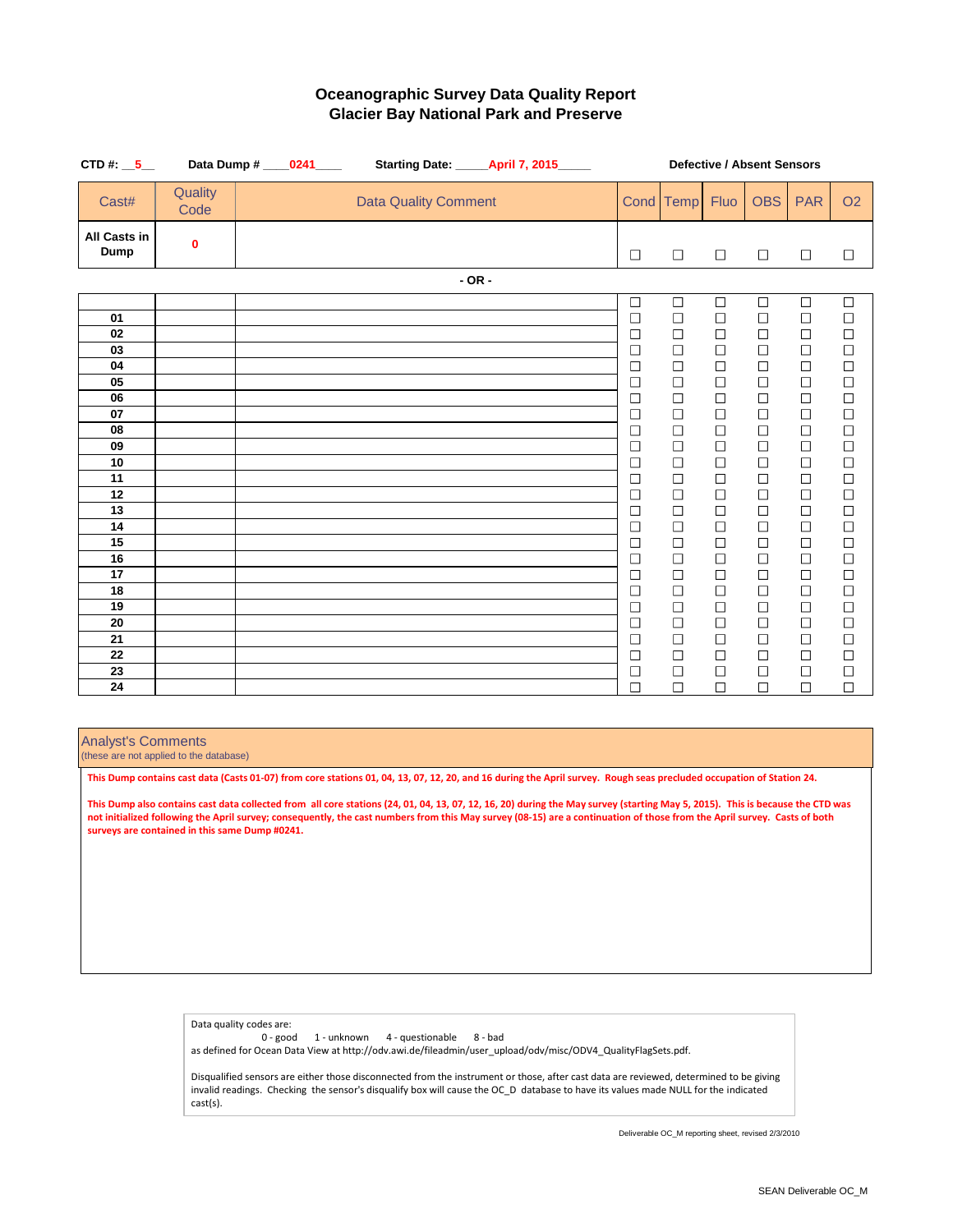| CTD #: $\_5$                                                                                                                           |                 | Data Dump # ____ 0241 ____ |                             | <b>Starting Date: ______ April 7, 2015______</b> |                                                                                                                                                                                                                                                                | <b>Defective / Absent Sensors</b>                                                                                                                                                                                                            |                                                                                                                                                                                                                                              |                                                                                                                                                                                                                                              |                                                                                                                                                                                                                                              |                                                                                                                                                                                                                                                                                                  |  |
|----------------------------------------------------------------------------------------------------------------------------------------|-----------------|----------------------------|-----------------------------|--------------------------------------------------|----------------------------------------------------------------------------------------------------------------------------------------------------------------------------------------------------------------------------------------------------------------|----------------------------------------------------------------------------------------------------------------------------------------------------------------------------------------------------------------------------------------------|----------------------------------------------------------------------------------------------------------------------------------------------------------------------------------------------------------------------------------------------|----------------------------------------------------------------------------------------------------------------------------------------------------------------------------------------------------------------------------------------------|----------------------------------------------------------------------------------------------------------------------------------------------------------------------------------------------------------------------------------------------|--------------------------------------------------------------------------------------------------------------------------------------------------------------------------------------------------------------------------------------------------------------------------------------------------|--|
| Cast#                                                                                                                                  | Quality<br>Code |                            | <b>Data Quality Comment</b> |                                                  |                                                                                                                                                                                                                                                                | Cond Temp                                                                                                                                                                                                                                    | <b>Fluo</b>                                                                                                                                                                                                                                  | <b>OBS</b>                                                                                                                                                                                                                                   | <b>PAR</b>                                                                                                                                                                                                                                   | <b>O2</b>                                                                                                                                                                                                                                                                                        |  |
| <b>All Casts in</b><br><b>Dump</b>                                                                                                     | $\mathbf 0$     |                            |                             |                                                  | $\Box$                                                                                                                                                                                                                                                         | $\Box$                                                                                                                                                                                                                                       | $\Box$                                                                                                                                                                                                                                       | $\Box$                                                                                                                                                                                                                                       | $\Box$                                                                                                                                                                                                                                       | $\Box$                                                                                                                                                                                                                                                                                           |  |
|                                                                                                                                        |                 |                            |                             | $- OR -$                                         |                                                                                                                                                                                                                                                                |                                                                                                                                                                                                                                              |                                                                                                                                                                                                                                              |                                                                                                                                                                                                                                              |                                                                                                                                                                                                                                              |                                                                                                                                                                                                                                                                                                  |  |
| 01<br>02<br>03<br>04<br>05<br>06<br>07<br>08<br>09<br>10<br>11<br>12<br>13<br>14<br>15<br>16<br>17<br>18<br>19<br>20<br>21<br>22<br>23 |                 |                            |                             |                                                  | $\Box$<br>$\Box$<br>$\Box$<br>$\Box$<br>$\Box$<br>$\Box$<br>$\Box$<br>$\Box$<br>$\Box$<br>$\Box$<br>$\Box$<br>$\Box$<br>$\Box$<br>$\Box$<br>$\Box$<br>$\Box$<br>$\Box$<br>$\Box$<br>$\Box$<br>$\Box$<br>$\Box$<br>$\Box$<br>$\overline{\phantom{a}}$<br>$\Box$ | $\Box$<br>$\Box$<br>$\Box$<br>$\Box$<br>$\Box$<br>$\Box$<br>$\Box$<br>$\Box$<br>$\Box$<br>$\Box$<br>$\Box$<br>$\Box$<br>$\Box$<br>$\Box$<br>$\Box$<br>$\Box$<br>$\Box$<br>$\Box$<br>$\Box$<br>$\Box$<br>$\Box$<br>$\Box$<br>$\Box$<br>$\Box$ | $\Box$<br>$\Box$<br>$\Box$<br>$\Box$<br>$\Box$<br>$\Box$<br>$\Box$<br>$\Box$<br>$\Box$<br>$\Box$<br>$\Box$<br>$\Box$<br>$\Box$<br>$\Box$<br>$\Box$<br>$\Box$<br>$\Box$<br>$\Box$<br>$\Box$<br>$\Box$<br>$\Box$<br>$\Box$<br>$\Box$<br>$\Box$ | $\Box$<br>$\Box$<br>$\Box$<br>$\Box$<br>$\Box$<br>$\Box$<br>$\Box$<br>$\Box$<br>$\Box$<br>$\Box$<br>$\Box$<br>$\Box$<br>$\Box$<br>$\Box$<br>$\Box$<br>$\Box$<br>$\Box$<br>$\Box$<br>$\Box$<br>$\Box$<br>$\Box$<br>$\Box$<br>$\Box$<br>$\Box$ | $\Box$<br>$\Box$<br>$\Box$<br>$\Box$<br>$\Box$<br>$\Box$<br>$\Box$<br>$\Box$<br>$\Box$<br>$\Box$<br>$\Box$<br>$\Box$<br>$\Box$<br>$\Box$<br>$\Box$<br>$\Box$<br>$\Box$<br>$\Box$<br>$\Box$<br>$\Box$<br>$\Box$<br>$\Box$<br>$\Box$<br>$\Box$ | $\Box$<br>$\Box$<br>$\Box$<br>$\Box$<br>$\Box$<br>$\Box$<br>$\Box$<br>$\begin{array}{c}\n\Box \\ \Box\n\end{array}$<br>$\Box$<br>$\begin{array}{c} \square \\ \square \end{array}$<br>$\Box$<br>$\Box$<br>$\Box$<br>$\Box$<br>$\Box$<br>$\Box$<br>$\Box$<br>$\Box$<br>$\Box$<br>$\Box$<br>$\Box$ |  |
| 24                                                                                                                                     |                 |                            |                             |                                                  | $\Box$                                                                                                                                                                                                                                                         | $\Box$                                                                                                                                                                                                                                       | $\Box$                                                                                                                                                                                                                                       | $\Box$                                                                                                                                                                                                                                       | $\Box$                                                                                                                                                                                                                                       | $\Box$                                                                                                                                                                                                                                                                                           |  |

# **Oceanographic Survey Data Quality Report Glacier Bay National Park and Preserve**

#### Analyst's Comments

(these are not applied to the database)

Data quality codes are:

0 - good 1 - unknown 4 - questionable 8 - bad

as defined for Ocean Data View at http://odv.awi.de/fileadmin/user\_upload/odv/misc/ODV4\_QualityFlagSets.pdf.

Disqualified sensors are either those disconnected from the instrument or those, after cast data are reviewed, determined to be giving invalid readings. Checking the sensor's disqualify box will cause the OC\_D database to have its values made NULL for the indicated cast(s).

**This Dump contains cast data (Casts 01-07) from core stations 01, 04, 13, 07, 12, 20, and 16 during the April survey. Rough seas precluded occupation of Station 24.**

**This Dump also contains cast data collected from all core stations (24, 01, 04, 13, 07, 12, 16, 20) during the May survey (starting May 5, 2015). This is because the CTD was not initialized following the April survey; consequently, the cast numbers from this May survey (08-15) are a continuation of those from the April survey. Casts of both surveys are contained in this same Dump #0241.**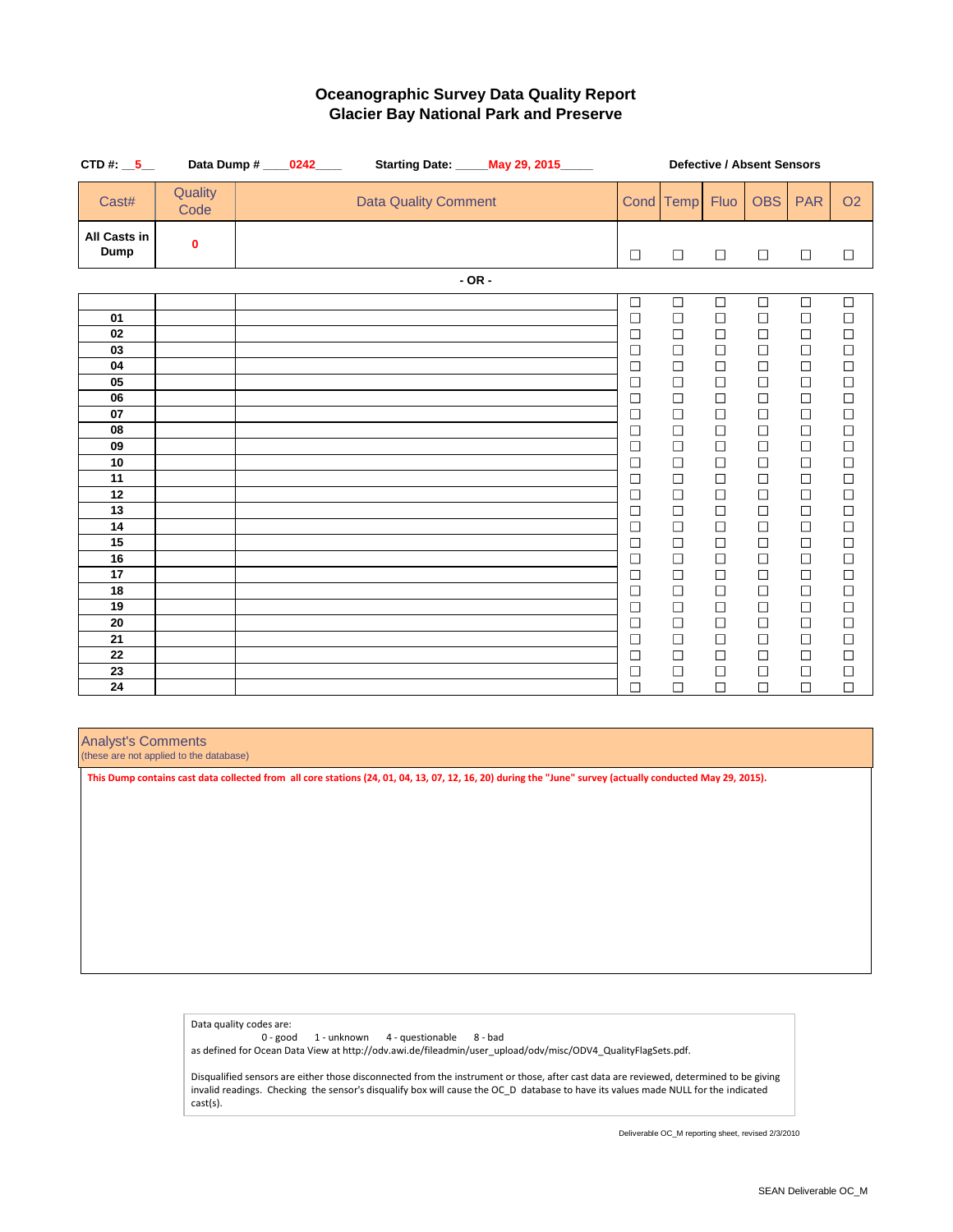| CTD #: $\_5$                                                                                             |                  | Data Dump # _____0242_____ |                             | <b>Starting Date: _____ May 29, 2015_____</b> | <b>Defective / Absent Sensors</b>                                                                                                                                                          |                                                                                                                                                                                            |                                                                                                                                                                                            |                                                                                                                                                                                            |                                                                                                                                                                                            |                                                                                                                                                                                            |  |
|----------------------------------------------------------------------------------------------------------|------------------|----------------------------|-----------------------------|-----------------------------------------------|--------------------------------------------------------------------------------------------------------------------------------------------------------------------------------------------|--------------------------------------------------------------------------------------------------------------------------------------------------------------------------------------------|--------------------------------------------------------------------------------------------------------------------------------------------------------------------------------------------|--------------------------------------------------------------------------------------------------------------------------------------------------------------------------------------------|--------------------------------------------------------------------------------------------------------------------------------------------------------------------------------------------|--------------------------------------------------------------------------------------------------------------------------------------------------------------------------------------------|--|
| Cast#                                                                                                    | Quality<br>Code  |                            | <b>Data Quality Comment</b> |                                               | <b>Cond</b>                                                                                                                                                                                | Temp                                                                                                                                                                                       | <b>Fluo</b>                                                                                                                                                                                | <b>OBS</b>                                                                                                                                                                                 | <b>PAR</b>                                                                                                                                                                                 | <b>O2</b>                                                                                                                                                                                  |  |
| <b>All Casts in</b><br><b>Dump</b>                                                                       | $\boldsymbol{0}$ |                            |                             |                                               | $\Box$                                                                                                                                                                                     | $\Box$                                                                                                                                                                                     | $\Box$                                                                                                                                                                                     | $\Box$                                                                                                                                                                                     | $\Box$                                                                                                                                                                                     | $\Box$                                                                                                                                                                                     |  |
|                                                                                                          |                  |                            |                             | $-OR -$                                       |                                                                                                                                                                                            |                                                                                                                                                                                            |                                                                                                                                                                                            |                                                                                                                                                                                            |                                                                                                                                                                                            |                                                                                                                                                                                            |  |
| 01<br>02<br>03<br>04<br>05<br>06<br>07<br>08<br>09<br>10<br>11<br>12<br>13<br>14<br>15<br>16<br>17<br>18 |                  |                            |                             |                                               | $\Box$<br>$\Box$<br>$\Box$<br>$\Box$<br>$\Box$<br>$\Box$<br>$\Box$<br>$\Box$<br>$\Box$<br>$\Box$<br>$\Box$<br>$\Box$<br>$\Box$<br>$\Box$<br>$\Box$<br>$\Box$<br>$\Box$<br>$\Box$<br>$\Box$ | $\Box$<br>$\Box$<br>$\Box$<br>$\Box$<br>$\Box$<br>$\Box$<br>$\Box$<br>$\Box$<br>$\Box$<br>$\Box$<br>$\Box$<br>$\Box$<br>$\Box$<br>$\Box$<br>$\Box$<br>$\Box$<br>$\Box$<br>$\Box$<br>$\Box$ | $\Box$<br>$\Box$<br>$\Box$<br>$\Box$<br>$\Box$<br>$\Box$<br>$\Box$<br>$\Box$<br>$\Box$<br>$\Box$<br>$\Box$<br>$\Box$<br>$\Box$<br>$\Box$<br>$\Box$<br>$\Box$<br>$\Box$<br>$\Box$<br>$\Box$ | $\Box$<br>$\Box$<br>$\Box$<br>$\Box$<br>$\Box$<br>$\Box$<br>$\Box$<br>$\Box$<br>$\Box$<br>$\Box$<br>$\Box$<br>$\Box$<br>$\Box$<br>$\Box$<br>$\Box$<br>$\Box$<br>$\Box$<br>$\Box$<br>$\Box$ | $\Box$<br>$\Box$<br>$\Box$<br>$\Box$<br>$\Box$<br>$\Box$<br>$\Box$<br>$\Box$<br>$\Box$<br>$\Box$<br>$\Box$<br>$\Box$<br>$\Box$<br>$\Box$<br>$\Box$<br>$\Box$<br>$\Box$<br>$\Box$<br>$\Box$ | $\Box$<br>$\Box$<br>$\Box$<br>$\Box$<br>$\Box$<br>$\Box$<br>$\Box$<br>$\Box$<br>$\Box$<br>$\Box$<br>$\Box$<br>$\Box$<br>$\Box$<br>$\Box$<br>$\Box$<br>$\Box$<br>$\Box$<br>$\Box$<br>$\Box$ |  |
| 19<br>20<br>21<br>22<br>23                                                                               |                  |                            |                             |                                               | $\Box$<br>$\Box$<br>$\Box$<br>$\Box$<br>$\Box$                                                                                                                                             | $\overline{\phantom{a}}$<br>$\Box$<br>$\Box$<br>$\Box$<br>$\Box$                                                                                                                           | $\Box$<br>$\Box$<br>$\Box$<br>$\Box$<br>$\Box$                                                                                                                                             | $\Box$<br>$\Box$<br>$\Box$<br>$\Box$<br>$\Box$                                                                                                                                             | $\Box$<br>$\Box$<br>$\Box$<br>$\Box$<br>$\Box$                                                                                                                                             | $\overline{\phantom{a}}$<br>$\Box$<br>$\Box$<br>$\Box$<br>$\Box$                                                                                                                           |  |
| 24                                                                                                       |                  |                            |                             |                                               | $\Box$                                                                                                                                                                                     | $\Box$                                                                                                                                                                                     | $\Box$                                                                                                                                                                                     | $\Box$                                                                                                                                                                                     | $\Box$                                                                                                                                                                                     | $\Box$                                                                                                                                                                                     |  |

# **Oceanographic Survey Data Quality Report Glacier Bay National Park and Preserve**

Analyst's Comments

(these are not applied to the database)

Data quality codes are:

0 - good 1 - unknown 4 - questionable 8 - bad

as defined for Ocean Data View at http://odv.awi.de/fileadmin/user\_upload/odv/misc/ODV4\_QualityFlagSets.pdf.

Disqualified sensors are either those disconnected from the instrument or those, after cast data are reviewed, determined to be giving invalid readings. Checking the sensor's disqualify box will cause the OC\_D database to have its values made NULL for the indicated cast(s).

**This Dump contains cast data collected from all core stations (24, 01, 04, 13, 07, 12, 16, 20) during the "June" survey (actually conducted May 29, 2015).**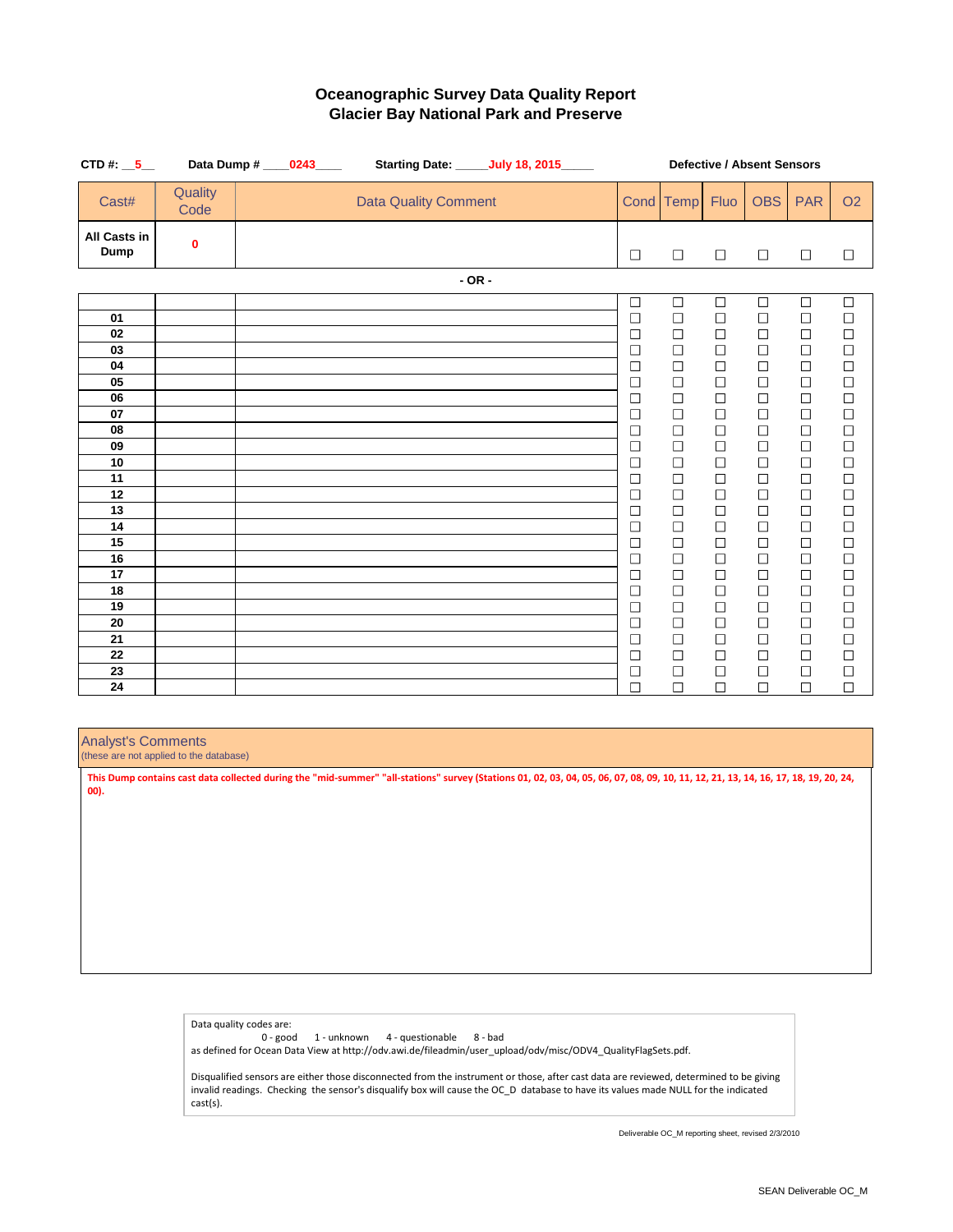| CTD #: $\_5$                                                                                                               |                  | Data Dump # ____0243____ |                             | Starting Date: ______July 18, 2015_____ | <b>Defective / Absent Sensors</b>                                                                                                                                                                                                          |                                                                                                                                                                                                                          |                                                                                                                                                                                                                          |                                                                                                                                                                                                                          |                                                                                                                                                                                                                                            |                                                                                                                                                                                                                                               |  |
|----------------------------------------------------------------------------------------------------------------------------|------------------|--------------------------|-----------------------------|-----------------------------------------|--------------------------------------------------------------------------------------------------------------------------------------------------------------------------------------------------------------------------------------------|--------------------------------------------------------------------------------------------------------------------------------------------------------------------------------------------------------------------------|--------------------------------------------------------------------------------------------------------------------------------------------------------------------------------------------------------------------------|--------------------------------------------------------------------------------------------------------------------------------------------------------------------------------------------------------------------------|--------------------------------------------------------------------------------------------------------------------------------------------------------------------------------------------------------------------------------------------|-----------------------------------------------------------------------------------------------------------------------------------------------------------------------------------------------------------------------------------------------|--|
| Cast#                                                                                                                      | Quality<br>Code  |                          | <b>Data Quality Comment</b> |                                         | <b>Cond</b>                                                                                                                                                                                                                                | Temp                                                                                                                                                                                                                     | <b>Fluo</b>                                                                                                                                                                                                              | <b>OBS</b>                                                                                                                                                                                                               | <b>PAR</b>                                                                                                                                                                                                                                 | <b>O2</b>                                                                                                                                                                                                                                     |  |
| <b>All Casts in</b><br><b>Dump</b>                                                                                         | $\boldsymbol{0}$ |                          |                             |                                         | $\Box$                                                                                                                                                                                                                                     | $\Box$                                                                                                                                                                                                                   | $\Box$                                                                                                                                                                                                                   | $\Box$                                                                                                                                                                                                                   | $\Box$                                                                                                                                                                                                                                     | $\Box$                                                                                                                                                                                                                                        |  |
|                                                                                                                            |                  |                          |                             | $- OR -$                                |                                                                                                                                                                                                                                            |                                                                                                                                                                                                                          |                                                                                                                                                                                                                          |                                                                                                                                                                                                                          |                                                                                                                                                                                                                                            |                                                                                                                                                                                                                                               |  |
| 01<br>02<br>03<br>04<br>05<br>06<br>07<br>08<br>09<br>10<br>11<br>12<br>13<br>14<br>15<br>16<br>17<br>18<br>19<br>20<br>21 |                  |                          |                             |                                         | $\Box$<br>$\Box$<br>$\Box$<br>$\Box$<br>$\Box$<br>$\Box$<br>$\Box$<br>$\Box$<br>$\Box$<br>$\Box$<br>$\Box$<br>$\Box$<br>$\Box$<br>$\Box$<br>$\Box$<br>$\Box$<br>$\Box$<br>$\Box$<br>$\Box$<br>$\overline{\phantom{a}}$<br>$\Box$<br>$\Box$ | $\Box$<br>$\Box$<br>$\Box$<br>$\Box$<br>$\Box$<br>$\Box$<br>$\Box$<br>$\Box$<br>$\Box$<br>$\Box$<br>$\Box$<br>$\Box$<br>$\Box$<br>$\Box$<br>$\Box$<br>$\Box$<br>$\Box$<br>$\Box$<br>$\Box$<br>$\Box$<br>$\Box$<br>$\Box$ | $\Box$<br>$\Box$<br>$\Box$<br>$\Box$<br>$\Box$<br>$\Box$<br>$\Box$<br>$\Box$<br>$\Box$<br>$\Box$<br>$\Box$<br>$\Box$<br>$\Box$<br>$\Box$<br>$\Box$<br>$\Box$<br>$\Box$<br>$\Box$<br>$\Box$<br>$\Box$<br>$\Box$<br>$\Box$ | $\Box$<br>$\Box$<br>$\Box$<br>$\Box$<br>$\Box$<br>$\Box$<br>$\Box$<br>$\Box$<br>$\Box$<br>$\Box$<br>$\Box$<br>$\Box$<br>$\Box$<br>$\Box$<br>$\Box$<br>$\Box$<br>$\Box$<br>$\Box$<br>$\Box$<br>$\Box$<br>$\Box$<br>$\Box$ | $\Box$<br>$\Box$<br>$\Box$<br>$\Box$<br>$\Box$<br>$\Box$<br>$\Box$<br>$\Box$<br>$\Box$<br>$\Box$<br>$\Box$<br>$\Box$<br>$\Box$<br>$\Box$<br>$\Box$<br>$\Box$<br>$\Box$<br>$\Box$<br>$\Box$<br>$\Box$<br>$\Box$<br>$\overline{\phantom{a}}$ | $\Box$<br>$\Box$<br>$\Box$<br>$\Box$<br>$\Box$<br>$\Box$<br>$\Box$<br>$\Box$<br>$\Box$<br>$\Box$<br>$\Box$<br>$\Box$<br>$\Box$<br>$\Box$<br>$\Box$<br>$\Box$<br>$\Box$<br>$\Box$<br>$\Box$<br>$\mathcal{L}_{\mathcal{A}}$<br>$\Box$<br>$\Box$ |  |
| 22<br>23                                                                                                                   |                  |                          |                             |                                         | $\Box$<br>$\Box$                                                                                                                                                                                                                           | $\Box$<br>$\Box$                                                                                                                                                                                                         | $\Box$<br>$\Box$                                                                                                                                                                                                         | $\Box$                                                                                                                                                                                                                   | $\Box$                                                                                                                                                                                                                                     | $\Box$<br>$\Box$                                                                                                                                                                                                                              |  |
| 24                                                                                                                         |                  |                          |                             |                                         | $\Box$                                                                                                                                                                                                                                     | ΙI                                                                                                                                                                                                                       | L                                                                                                                                                                                                                        | $\vert \ \ \vert$                                                                                                                                                                                                        |                                                                                                                                                                                                                                            | $\mathcal{L}_{\mathcal{A}}$                                                                                                                                                                                                                   |  |

# **Oceanographic Survey Data Quality Report Glacier Bay National Park and Preserve**

Analyst's Comments

(these are not applied to the database)

Data quality codes are:

0 - good 1 - unknown 4 - questionable 8 - bad

as defined for Ocean Data View at http://odv.awi.de/fileadmin/user\_upload/odv/misc/ODV4\_QualityFlagSets.pdf.

Disqualified sensors are either those disconnected from the instrument or those, after cast data are reviewed, determined to be giving invalid readings. Checking the sensor's disqualify box will cause the OC\_D database to have its values made NULL for the indicated cast(s).

**This Dump contains cast data collected during the "mid-summer" "all-stations" survey (Stations 01, 02, 03, 04, 05, 06, 07, 08, 09, 10, 11, 12, 21, 13, 14, 16, 17, 18, 19, 20, 24, 00).**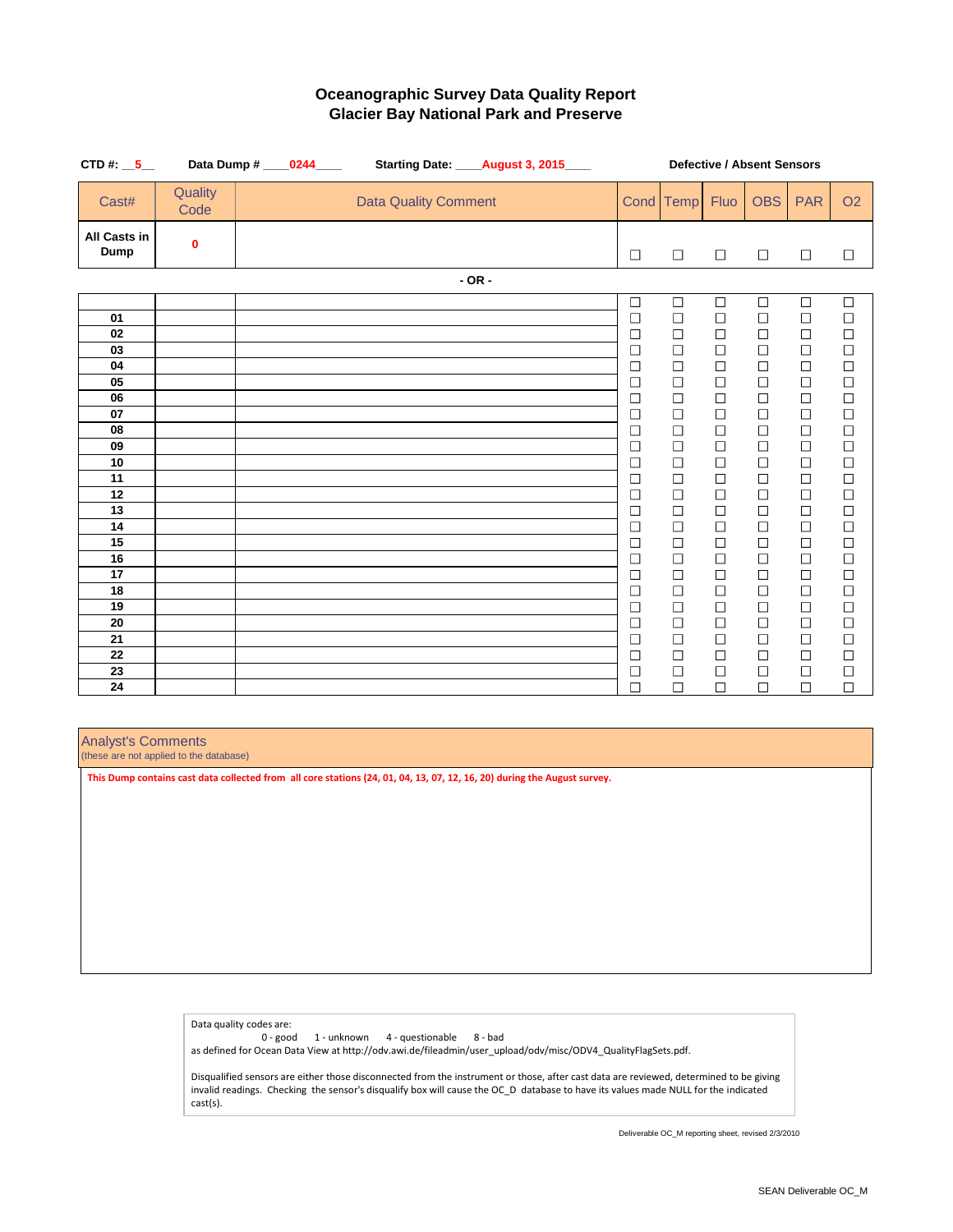| CTD #: $\_5$                                                                                                                           |                  | Data Dump # _____0244_____ |                             | Starting Date: _____ August 3, 2015____ | <b>Defective / Absent Sensors</b>                                                                                                                                                                                                            |                                                                                                                                                                                                                                              |                                                                                                                                                                                                                                              |                                                                                                                                                                                                                          |                                                                                                                                                                                                                                              |                                                                                                                                                                                                                                                                     |
|----------------------------------------------------------------------------------------------------------------------------------------|------------------|----------------------------|-----------------------------|-----------------------------------------|----------------------------------------------------------------------------------------------------------------------------------------------------------------------------------------------------------------------------------------------|----------------------------------------------------------------------------------------------------------------------------------------------------------------------------------------------------------------------------------------------|----------------------------------------------------------------------------------------------------------------------------------------------------------------------------------------------------------------------------------------------|--------------------------------------------------------------------------------------------------------------------------------------------------------------------------------------------------------------------------|----------------------------------------------------------------------------------------------------------------------------------------------------------------------------------------------------------------------------------------------|---------------------------------------------------------------------------------------------------------------------------------------------------------------------------------------------------------------------------------------------------------------------|
| Cast#                                                                                                                                  | Quality<br>Code  |                            | <b>Data Quality Comment</b> |                                         |                                                                                                                                                                                                                                              | Cond Temp                                                                                                                                                                                                                                    | <b>Fluo</b>                                                                                                                                                                                                                                  | <b>OBS</b>                                                                                                                                                                                                               | <b>PAR</b>                                                                                                                                                                                                                                   | <b>O2</b>                                                                                                                                                                                                                                                           |
| <b>All Casts in</b><br><b>Dump</b>                                                                                                     | $\boldsymbol{0}$ |                            |                             |                                         | $\Box$                                                                                                                                                                                                                                       | $\Box$                                                                                                                                                                                                                                       | $\Box$                                                                                                                                                                                                                                       | $\Box$                                                                                                                                                                                                                   | $\Box$                                                                                                                                                                                                                                       | $\Box$                                                                                                                                                                                                                                                              |
|                                                                                                                                        |                  |                            |                             | $- OR -$                                |                                                                                                                                                                                                                                              |                                                                                                                                                                                                                                              |                                                                                                                                                                                                                                              |                                                                                                                                                                                                                          |                                                                                                                                                                                                                                              |                                                                                                                                                                                                                                                                     |
| 01<br>02<br>03<br>04<br>05<br>06<br>07<br>08<br>09<br>10<br>11<br>12<br>13<br>14<br>15<br>16<br>17<br>18<br>19<br>20<br>21<br>22<br>23 |                  |                            |                             |                                         | $\Box$<br>$\Box$<br>$\Box$<br>$\Box$<br>$\Box$<br>$\Box$<br>$\Box$<br>$\Box$<br>$\Box$<br>$\Box$<br>$\Box$<br>$\Box$<br>$\Box$<br>$\Box$<br>$\Box$<br>$\Box$<br>$\Box$<br>$\Box$<br>$\Box$<br>$\Box$<br>$\Box$<br>$\Box$<br>$\Box$<br>$\Box$ | $\Box$<br>$\Box$<br>$\Box$<br>$\Box$<br>$\Box$<br>$\Box$<br>$\Box$<br>$\Box$<br>$\Box$<br>$\Box$<br>$\Box$<br>$\Box$<br>$\Box$<br>$\Box$<br>$\Box$<br>$\Box$<br>$\Box$<br>$\Box$<br>$\Box$<br>$\Box$<br>$\Box$<br>$\Box$<br>$\Box$<br>$\Box$ | $\Box$<br>$\Box$<br>$\Box$<br>$\Box$<br>$\Box$<br>$\Box$<br>$\Box$<br>$\Box$<br>$\Box$<br>$\Box$<br>$\Box$<br>$\Box$<br>$\Box$<br>$\Box$<br>$\Box$<br>$\Box$<br>$\Box$<br>$\Box$<br>$\Box$<br>$\Box$<br>$\Box$<br>$\Box$<br>$\Box$<br>$\Box$ | $\Box$<br>$\Box$<br>$\Box$<br>$\Box$<br>$\Box$<br>$\Box$<br>$\Box$<br>$\Box$<br>$\Box$<br>$\Box$<br>$\Box$<br>$\Box$<br>$\Box$<br>$\Box$<br>$\Box$<br>$\Box$<br>$\Box$<br>$\Box$<br>$\Box$<br>$\Box$<br>$\Box$<br>$\Box$ | $\Box$<br>$\Box$<br>$\Box$<br>$\Box$<br>$\Box$<br>$\Box$<br>$\Box$<br>$\Box$<br>$\Box$<br>$\Box$<br>$\Box$<br>$\Box$<br>$\Box$<br>$\Box$<br>$\Box$<br>$\Box$<br>$\Box$<br>$\Box$<br>$\Box$<br>$\Box$<br>$\Box$<br>$\Box$<br>$\Box$<br>$\Box$ | $\Box$<br>$\Box$<br>$\Box$<br>$\Box$<br>$\begin{array}{c} \square \\ \square \end{array}$<br>$\Box$<br>$\Box$<br>$\Box$<br>$\Box$<br>$\Box$<br>$\Box$<br>$\Box$<br>$\Box$<br>$\Box$<br>$\Box$<br>$\Box$<br>$\Box$<br>$\Box$<br>$\Box$<br>$\Box$<br>$\Box$<br>$\Box$ |
| 24                                                                                                                                     |                  |                            |                             |                                         | $\Box$                                                                                                                                                                                                                                       | П                                                                                                                                                                                                                                            | $\Box$                                                                                                                                                                                                                                       | $\Box$                                                                                                                                                                                                                   | $\Box$                                                                                                                                                                                                                                       | $\Box$                                                                                                                                                                                                                                                              |

# **Oceanographic Survey Data Quality Report Glacier Bay National Park and Preserve**

Analyst's Comments

(these are not applied to the database)

Data quality codes are:

0 - good 1 - unknown 4 - questionable 8 - bad

as defined for Ocean Data View at http://odv.awi.de/fileadmin/user\_upload/odv/misc/ODV4\_QualityFlagSets.pdf.

Disqualified sensors are either those disconnected from the instrument or those, after cast data are reviewed, determined to be giving invalid readings. Checking the sensor's disqualify box will cause the OC\_D database to have its values made NULL for the indicated cast(s).

**This Dump contains cast data collected from all core stations (24, 01, 04, 13, 07, 12, 16, 20) during the August survey.**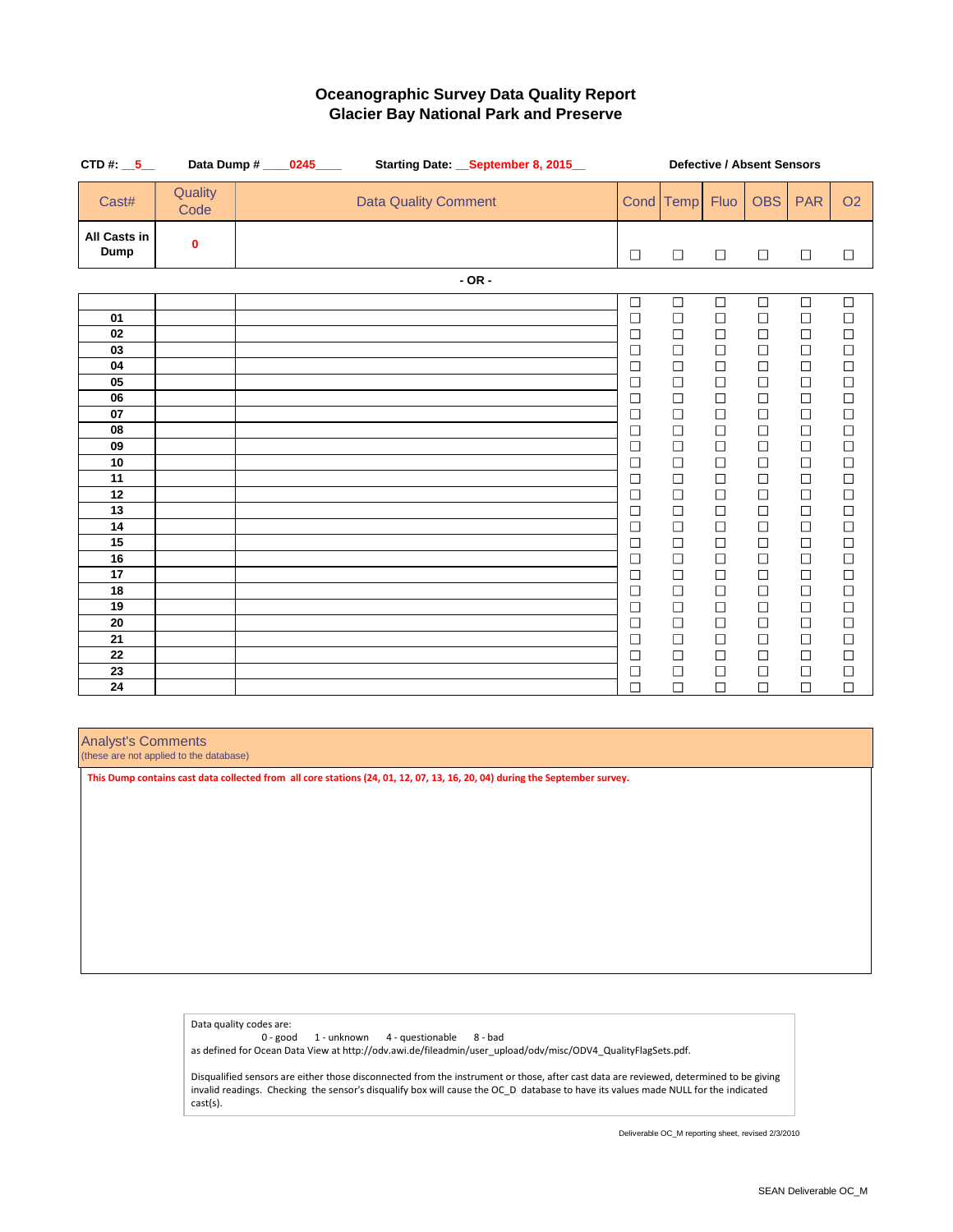| CTD #: $\_5$                                                                                                                           | Data Dump #      |                             | Starting Date: September 8, 2015 | <b>Defective / Absent Sensors</b>                                                                                                                                                                                                            |                                                                                                                                                                                                                                              |                                                                                                                                                                                                                                                      |                                                                                                                                                                                                                                              |                                                                                                                                                                                                                                              |                                                                                                                                                                                                                                                                                  |
|----------------------------------------------------------------------------------------------------------------------------------------|------------------|-----------------------------|----------------------------------|----------------------------------------------------------------------------------------------------------------------------------------------------------------------------------------------------------------------------------------------|----------------------------------------------------------------------------------------------------------------------------------------------------------------------------------------------------------------------------------------------|------------------------------------------------------------------------------------------------------------------------------------------------------------------------------------------------------------------------------------------------------|----------------------------------------------------------------------------------------------------------------------------------------------------------------------------------------------------------------------------------------------|----------------------------------------------------------------------------------------------------------------------------------------------------------------------------------------------------------------------------------------------|----------------------------------------------------------------------------------------------------------------------------------------------------------------------------------------------------------------------------------------------------------------------------------|
| Cast#                                                                                                                                  | Quality<br>Code  | <b>Data Quality Comment</b> |                                  | <b>Cond</b>                                                                                                                                                                                                                                  | Temp                                                                                                                                                                                                                                         | <b>Fluo</b>                                                                                                                                                                                                                                          | <b>OBS</b>                                                                                                                                                                                                                                   | <b>PAR</b>                                                                                                                                                                                                                                   | <b>O2</b>                                                                                                                                                                                                                                                                        |
| <b>All Casts in</b><br><b>Dump</b>                                                                                                     | $\boldsymbol{0}$ |                             |                                  | $\Box$                                                                                                                                                                                                                                       | $\Box$                                                                                                                                                                                                                                       | $\Box$                                                                                                                                                                                                                                               | $\Box$                                                                                                                                                                                                                                       | $\Box$                                                                                                                                                                                                                                       | $\Box$                                                                                                                                                                                                                                                                           |
|                                                                                                                                        |                  |                             | $- OR -$                         |                                                                                                                                                                                                                                              |                                                                                                                                                                                                                                              |                                                                                                                                                                                                                                                      |                                                                                                                                                                                                                                              |                                                                                                                                                                                                                                              |                                                                                                                                                                                                                                                                                  |
| 01<br>02<br>03<br>04<br>05<br>06<br>07<br>08<br>09<br>10<br>11<br>12<br>13<br>14<br>15<br>16<br>17<br>18<br>19<br>20<br>21<br>22<br>23 |                  |                             |                                  | $\Box$<br>$\Box$<br>$\Box$<br>$\Box$<br>$\Box$<br>$\Box$<br>$\Box$<br>$\Box$<br>$\Box$<br>$\Box$<br>$\Box$<br>$\Box$<br>$\Box$<br>$\Box$<br>$\Box$<br>$\Box$<br>$\Box$<br>$\Box$<br>$\Box$<br>$\Box$<br>$\Box$<br>$\Box$<br>$\Box$<br>$\Box$ | $\Box$<br>$\Box$<br>$\Box$<br>$\Box$<br>$\Box$<br>$\Box$<br>$\Box$<br>$\Box$<br>$\Box$<br>$\Box$<br>$\Box$<br>$\Box$<br>$\Box$<br>$\Box$<br>$\Box$<br>$\Box$<br>$\Box$<br>$\Box$<br>$\Box$<br>$\Box$<br>$\Box$<br>$\Box$<br>$\Box$<br>$\Box$ | $\Box$<br>$\Box$<br>$\Box$<br>$\Box$<br>$\Box$<br>$\Box$<br>$\Box$<br>$\Box$<br>$\Box$<br>$\Box$<br>$\Box$<br>$\Box$<br>$\Box$<br>$\Box$<br>$\Box$<br>$\Box$<br>$\Box$<br>$\Box$<br>$\Box$<br>$\Box$<br>$\Box$<br>$\Box$<br>$\overline{\phantom{a}}$ | $\Box$<br>$\Box$<br>$\Box$<br>$\Box$<br>$\Box$<br>$\Box$<br>$\Box$<br>$\Box$<br>$\Box$<br>$\Box$<br>$\Box$<br>$\Box$<br>$\Box$<br>$\Box$<br>$\Box$<br>$\Box$<br>$\Box$<br>$\Box$<br>$\Box$<br>$\Box$<br>$\Box$<br>$\Box$<br>$\Box$<br>$\Box$ | $\Box$<br>$\Box$<br>$\Box$<br>$\Box$<br>$\Box$<br>$\Box$<br>$\Box$<br>$\Box$<br>$\Box$<br>$\Box$<br>$\Box$<br>$\Box$<br>$\Box$<br>$\Box$<br>$\Box$<br>$\Box$<br>$\Box$<br>$\Box$<br>$\Box$<br>$\Box$<br>$\Box$<br>$\Box$<br>$\Box$<br>$\Box$ | $\Box$<br>$\Box$<br>0000000<br>$\Box$<br>$\begin{array}{c}\n\Box \\ \Box\n\end{array}$<br>$\Box$<br>$\Box$<br>$\begin{array}{c} \square \\ \square \end{array}$<br>$\Box$<br>$\begin{array}{c} \square \\ \square \end{array}$<br>$\Box$<br>$\Box$<br>$\Box$<br>$\Box$<br>$\Box$ |
| 24                                                                                                                                     |                  |                             |                                  | П                                                                                                                                                                                                                                            | $\Box$                                                                                                                                                                                                                                       | $\Box$                                                                                                                                                                                                                                               | $\Box$                                                                                                                                                                                                                                       | $\Box$                                                                                                                                                                                                                                       | $\Box$                                                                                                                                                                                                                                                                           |

# **Oceanographic Survey Data Quality Report Glacier Bay National Park and Preserve**

Analyst's Comments

(these are not applied to the database)

Data quality codes are:

0 - good 1 - unknown 4 - questionable 8 - bad

as defined for Ocean Data View at http://odv.awi.de/fileadmin/user\_upload/odv/misc/ODV4\_QualityFlagSets.pdf.

Disqualified sensors are either those disconnected from the instrument or those, after cast data are reviewed, determined to be giving invalid readings. Checking the sensor's disqualify box will cause the OC\_D database to have its values made NULL for the indicated cast(s).

**This Dump contains cast data collected from all core stations (24, 01, 12, 07, 13, 16, 20, 04) during the September survey.**